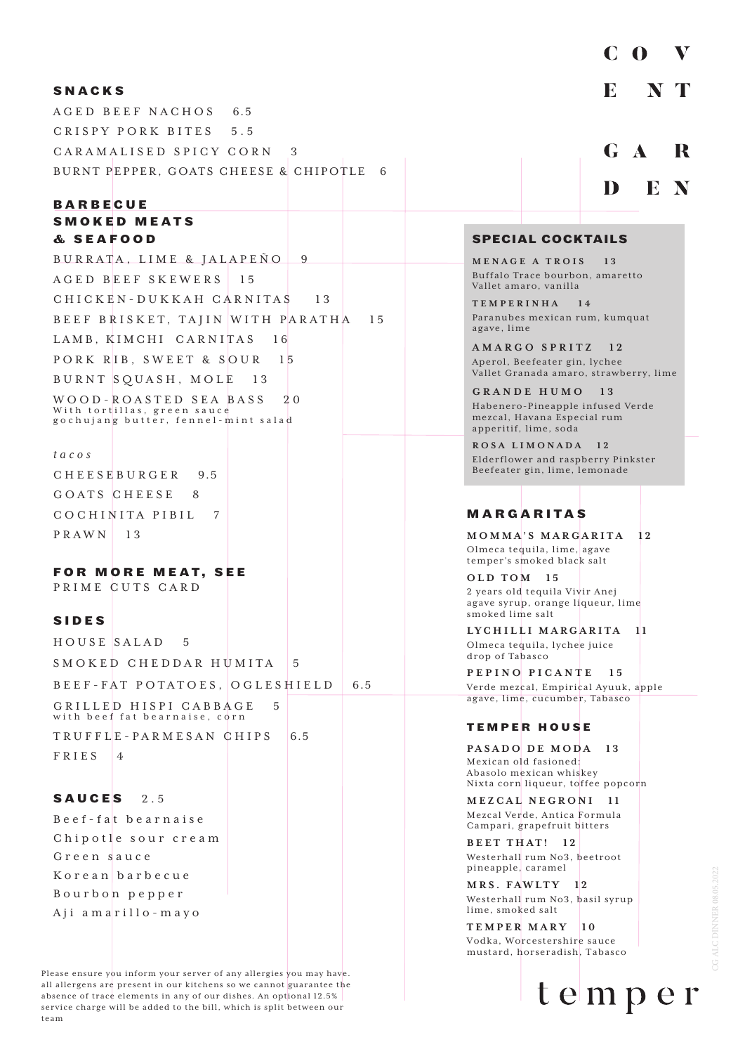#### **SNACKS**

AGED BEEF NACHOS 6.5 CRISPY PORK BITES 5.5 CARAMALISED SPICY CORN 3 BURNT PEPPER, GOATS CHEESE & CHIPOTLE 6

#### **BARBECUE SMOKED MEATS & S E A F O O D**

BURRATA, LIME & JALAPEÑO 9 AGED BEEF SKEWERS 15 CHICKEN-DUKKAH CARNITAS 13 BEEF BRISKET, TAJIN WITH PARATHA 15 LAMB, KIMCHI CARNITAS 16 PORK RIB, SWEET & SOUR 15 BURNT SQUASH, MOLE 13 WOOD-ROASTED SEA BASS 20 With tortillas, green sauce gochujang butter, fennel-mint salad

#### *tacos*

CHEESEBURGER 9.5 GOATS CHEESE 8 COCHINITA PIBIL 7 PRAWN 13

#### **FOR MORE MEAT, SEE**

PRIME CUTS CARD

#### **SIDES**

HOUSE SALAD 5 SMOKED CHEDDAR HUMITA 5 BEEF-FAT POTATOES, OGLESHIELD 6.5 GRILLED HISPI CABBAGE with beef fat bearnaise, corn  $TRUFFL_E-PARMESANCHIPS$  6.5 FRIES<sub>4</sub>

#### **SAUCES** 2.5

Beef-fat bearnaise Chipotle sour cream Green sauce Korean barbecue Bourbon pepper Aji amarillo-mayo

Please ensure you inform your server of any allergies you may have. all allergens are present in our kitchens so we cannot guarantee the absence of trace elements in any of our dishes. An optional 12.5% service charge will be added to the bill, which is split between our team

# $C<sub>0</sub>$ V E  $\mathbf{T}$ N G A R

 $\mathbf{E}$ N

D

#### **SPECIAL COCKTAILS**

**MENAGE A TROIS 13** Buffalo Trace bourbon, amaretto Vallet amaro, vanilla

**TEMPERINHA 14** Paranubes mexican rum, kumquat agave, lime

**AMARGO SPRITZ 12** Aperol, Beefeater gin, lychee Vallet Granada amaro, strawberry, lime

**GRANDE HUMO 13** Habenero-Pineapple infused Verde mezcal, Havana Especial rum apperitif, lime, soda

**ROSA LIMONADA 12** Elderflower and raspberry Pinkster Beefeater gin, lime, lemonade

## **MARGARITAS**

**MOMMA'S MARGARITA 12** Olmeca tequila, lime, agave temper's smoked black salt

**OLD TOM 15** 2 years old tequila Vivir Anej agave syrup, orange liqueur, lime smoked lime salt

**LYCHILLI MARGARITA 11** Olmeca tequila, lychee juice drop of Tabasco

**PEPINO PICANTE 15** Verde mezcal, Empirical Ayuuk, apple agave, lime, cucumber, Tabasco

#### **TEMPER HOUSE**

**PASADO DE MODA 13** Mexican old fasioned: Abasolo mexican whiskey Nixta corn liqueur, toffee popcorn

**MEZCAL NEGRONI** Mezcal Verde, Antica Formula Campari, grapefruit bitters

**BEET THAT! 12** Westerhall rum No3, beetroot pineapple, caramel

**MRS. FAWLTY 12** Westerhall rum No3, basil syrup lime, smoked salt

**TEMPER MARY 10** Vodka, Worcestershire sauce mustard, horseradish, Tabasco

temper